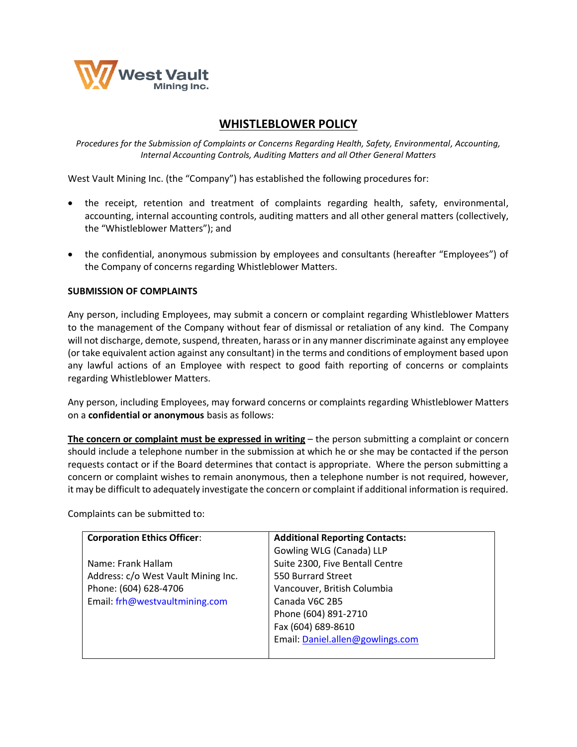

# **WHISTLEBLOWER POLICY**

*Procedures for the Submission of Complaints or Concerns Regarding Health, Safety, Environmental, Accounting, Internal Accounting Controls, Auditing Matters and all Other General Matters*

West Vault Mining Inc. (the "Company") has established the following procedures for:

- the receipt, retention and treatment of complaints regarding health, safety, environmental, accounting, internal accounting controls, auditing matters and all other general matters (collectively, the "Whistleblower Matters"); and
- the confidential, anonymous submission by employees and consultants (hereafter "Employees") of the Company of concerns regarding Whistleblower Matters.

### **SUBMISSION OF COMPLAINTS**

Any person, including Employees, may submit a concern or complaint regarding Whistleblower Matters to the management of the Company without fear of dismissal or retaliation of any kind. The Company will not discharge, demote, suspend, threaten, harass or in any manner discriminate against any employee (or take equivalent action against any consultant) in the terms and conditions of employment based upon any lawful actions of an Employee with respect to good faith reporting of concerns or complaints regarding Whistleblower Matters.

Any person, including Employees, may forward concerns or complaints regarding Whistleblower Matters on a **confidential or anonymous** basis as follows:

**The concern or complaint must be expressed in writing** – the person submitting a complaint or concern should include a telephone number in the submission at which he or she may be contacted if the person requests contact or if the Board determines that contact is appropriate. Where the person submitting a concern or complaint wishes to remain anonymous, then a telephone number is not required, however, it may be difficult to adequately investigate the concern or complaint if additional information is required.

| <b>Corporation Ethics Officer:</b>  | <b>Additional Reporting Contacts:</b> |
|-------------------------------------|---------------------------------------|
|                                     | Gowling WLG (Canada) LLP              |
| Name: Frank Hallam                  | Suite 2300, Five Bentall Centre       |
| Address: c/o West Vault Mining Inc. | 550 Burrard Street                    |
| Phone: (604) 628-4706               | Vancouver, British Columbia           |
| Email: frh@westvaultmining.com      | Canada V6C 2B5                        |
|                                     | Phone (604) 891-2710                  |
|                                     | Fax (604) 689-8610                    |
|                                     | Email: Daniel.allen@gowlings.com      |
|                                     |                                       |

Complaints can be submitted to: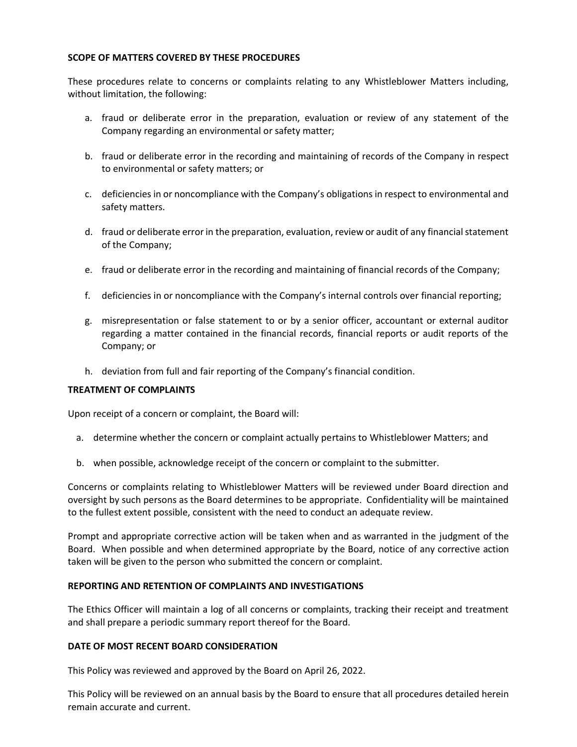## **SCOPE OF MATTERS COVERED BY THESE PROCEDURES**

These procedures relate to concerns or complaints relating to any Whistleblower Matters including, without limitation, the following:

- a. fraud or deliberate error in the preparation, evaluation or review of any statement of the Company regarding an environmental or safety matter;
- b. fraud or deliberate error in the recording and maintaining of records of the Company in respect to environmental or safety matters; or
- c. deficiencies in or noncompliance with the Company's obligations in respect to environmental and safety matters.
- d. fraud or deliberate error in the preparation, evaluation, review or audit of any financial statement of the Company;
- e. fraud or deliberate error in the recording and maintaining of financial records of the Company;
- f. deficiencies in or noncompliance with the Company's internal controls over financial reporting;
- g. misrepresentation or false statement to or by a senior officer, accountant or external auditor regarding a matter contained in the financial records, financial reports or audit reports of the Company; or
- h. deviation from full and fair reporting of the Company's financial condition.

### **TREATMENT OF COMPLAINTS**

Upon receipt of a concern or complaint, the Board will:

- a. determine whether the concern or complaint actually pertains to Whistleblower Matters; and
- b. when possible, acknowledge receipt of the concern or complaint to the submitter.

Concerns or complaints relating to Whistleblower Matters will be reviewed under Board direction and oversight by such persons as the Board determines to be appropriate. Confidentiality will be maintained to the fullest extent possible, consistent with the need to conduct an adequate review.

Prompt and appropriate corrective action will be taken when and as warranted in the judgment of the Board. When possible and when determined appropriate by the Board, notice of any corrective action taken will be given to the person who submitted the concern or complaint.

### **REPORTING AND RETENTION OF COMPLAINTS AND INVESTIGATIONS**

The Ethics Officer will maintain a log of all concerns or complaints, tracking their receipt and treatment and shall prepare a periodic summary report thereof for the Board.

#### **DATE OF MOST RECENT BOARD CONSIDERATION**

This Policy was reviewed and approved by the Board on April 26, 2022.

This Policy will be reviewed on an annual basis by the Board to ensure that all procedures detailed herein remain accurate and current.